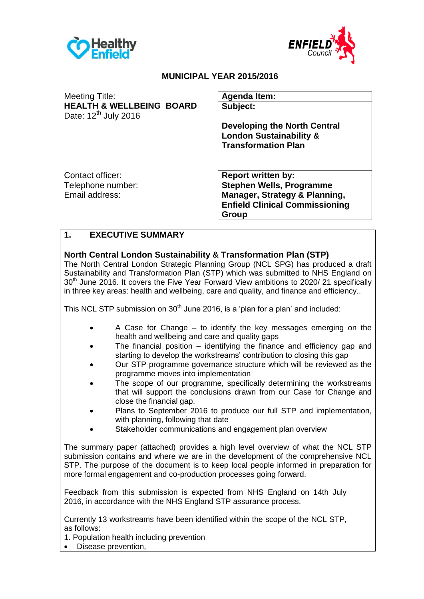



### **MUNICIPAL YEAR 2015/2016**

| <b>Meeting Title:</b><br><b>HEALTH &amp; WELLBEING BOARD</b><br>Date: $12^{th}$ July 2016 | <b>Agenda Item:</b><br>Subject:                                                                                                                            |
|-------------------------------------------------------------------------------------------|------------------------------------------------------------------------------------------------------------------------------------------------------------|
|                                                                                           | <b>Developing the North Central</b><br><b>London Sustainability &amp;</b><br><b>Transformation Plan</b>                                                    |
| Contact officer:<br>Telephone number:<br>Email address:                                   | <b>Report written by:</b><br><b>Stephen Wells, Programme</b><br><b>Manager, Strategy &amp; Planning,</b><br><b>Enfield Clinical Commissioning</b><br>Group |

### **1. EXECUTIVE SUMMARY**

### **North Central London Sustainability & Transformation Plan (STP)**

The North Central London Strategic Planning Group (NCL SPG) has produced a draft Sustainability and Transformation Plan (STP) which was submitted to NHS England on 30<sup>th</sup> June 2016. It covers the Five Year Forward View ambitions to 2020/21 specifically in three key areas: health and wellbeing, care and quality, and finance and efficiency..

This NCL STP submission on  $30<sup>th</sup>$  June 2016, is a 'plan for a plan' and included:

- A Case for Change to identify the key messages emerging on the health and wellbeing and care and quality gaps
- The financial position identifying the finance and efficiency gap and starting to develop the workstreams' contribution to closing this gap
- Our STP programme governance structure which will be reviewed as the programme moves into implementation
- The scope of our programme, specifically determining the workstreams that will support the conclusions drawn from our Case for Change and close the financial gap.
- Plans to September 2016 to produce our full STP and implementation, with planning, following that date
- Stakeholder communications and engagement plan overview

The summary paper (attached) provides a high level overview of what the NCL STP submission contains and where we are in the development of the comprehensive NCL STP. The purpose of the document is to keep local people informed in preparation for more formal engagement and co-production processes going forward.

Feedback from this submission is expected from NHS England on 14th July 2016, in accordance with the NHS England STP assurance process.

Currently 13 workstreams have been identified within the scope of the NCL STP, as follows:

1. Population health including prevention

• Disease prevention,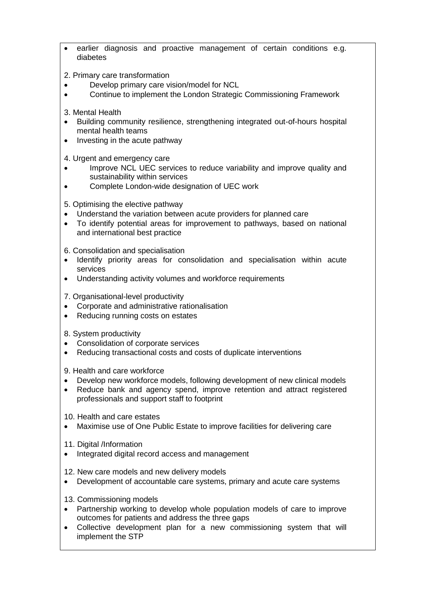- earlier diagnosis and proactive management of certain conditions e.g. diabetes
- 2. Primary care transformation
- Develop primary care vision/model for NCL
- Continue to implement the London Strategic Commissioning Framework
- 3. Mental Health
- Building community resilience, strengthening integrated out-of-hours hospital mental health teams
- Investing in the acute pathway
- 4. Urgent and emergency care
- Improve NCL UEC services to reduce variability and improve quality and sustainability within services
- Complete London-wide designation of UEC work
- 5. Optimising the elective pathway
- Understand the variation between acute providers for planned care
- To identify potential areas for improvement to pathways, based on national and international best practice

6. Consolidation and specialisation

- Identify priority areas for consolidation and specialisation within acute services
- Understanding activity volumes and workforce requirements
- 7. Organisational-level productivity
- Corporate and administrative rationalisation
- Reducing running costs on estates
- 8. System productivity
- Consolidation of corporate services
- Reducing transactional costs and costs of duplicate interventions

9. Health and care workforce

- Develop new workforce models, following development of new clinical models
- Reduce bank and agency spend, improve retention and attract registered professionals and support staff to footprint

10. Health and care estates

- Maximise use of One Public Estate to improve facilities for delivering care
- 11. Digital /Information
- Integrated digital record access and management
- 12. New care models and new delivery models
- Development of accountable care systems, primary and acute care systems
- 13. Commissioning models
- Partnership working to develop whole population models of care to improve outcomes for patients and address the three gaps
- Collective development plan for a new commissioning system that will implement the STP